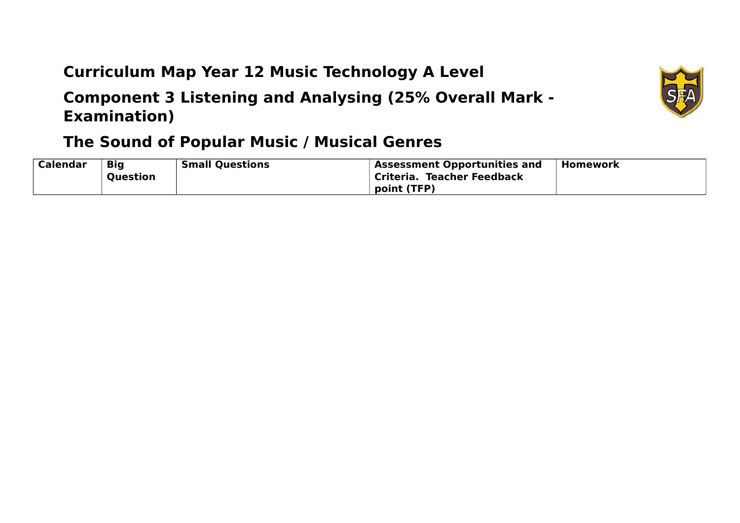## **Curriculum Map Year 12 Music Technology A Level**

**Component 3 Listening and Analysing (25% Overall Mark - Examination)** 



| Calendar | <b>Big</b><br><b>Question</b> | <b>Small Questions</b> | <b>Assessment Opportunities and</b><br>Criteria. Teacher Feedback | <b>Homework</b> |
|----------|-------------------------------|------------------------|-------------------------------------------------------------------|-----------------|
|          |                               |                        | point (TFP)                                                       |                 |

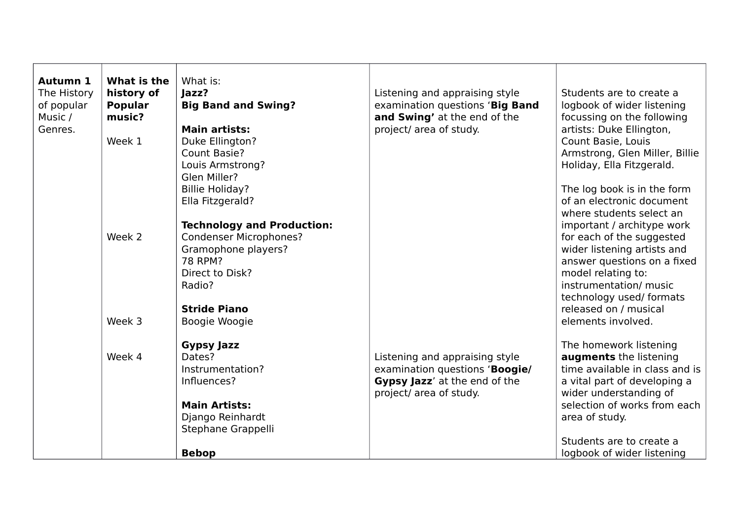| Autumn 1<br>The History<br>of popular<br>Music /<br>Genres. | What is the<br>history of<br><b>Popular</b><br>music?<br>Week 1 | What is:<br>Jazz?<br><b>Big Band and Swing?</b><br><b>Main artists:</b><br>Duke Ellington?                                                               | Listening and appraising style<br>examination questions 'Big Band<br>and Swing' at the end of the<br>project/ area of study. | Students are to create a<br>logbook of wider listening<br>focussing on the following<br>artists: Duke Ellington,<br>Count Basie, Louis                                                                                     |
|-------------------------------------------------------------|-----------------------------------------------------------------|----------------------------------------------------------------------------------------------------------------------------------------------------------|------------------------------------------------------------------------------------------------------------------------------|----------------------------------------------------------------------------------------------------------------------------------------------------------------------------------------------------------------------------|
|                                                             |                                                                 | Count Basie?<br>Louis Armstrong?<br>Glen Miller?                                                                                                         |                                                                                                                              | Armstrong, Glen Miller, Billie<br>Holiday, Ella Fitzgerald.                                                                                                                                                                |
|                                                             |                                                                 | <b>Billie Holiday?</b><br>Ella Fitzgerald?                                                                                                               |                                                                                                                              | The log book is in the form<br>of an electronic document<br>where students select an                                                                                                                                       |
|                                                             | Week 2                                                          | <b>Technology and Production:</b><br><b>Condenser Microphones?</b><br>Gramophone players?<br>78 RPM?<br>Direct to Disk?<br>Radio?<br><b>Stride Piano</b> |                                                                                                                              | important / architype work<br>for each of the suggested<br>wider listening artists and<br>answer questions on a fixed<br>model relating to:<br>instrumentation/ music<br>technology used/ formats<br>released on / musical |
|                                                             | Week 3                                                          | Boogie Woogie                                                                                                                                            |                                                                                                                              | elements involved.                                                                                                                                                                                                         |
|                                                             | Week 4                                                          | <b>Gypsy Jazz</b><br>Dates?<br>Instrumentation?<br>Influences?                                                                                           | Listening and appraising style<br>examination questions 'Boogie/<br>Gypsy Jazz' at the end of the<br>project/ area of study. | The homework listening<br>augments the listening<br>time available in class and is<br>a vital part of developing a<br>wider understanding of                                                                               |
|                                                             |                                                                 | <b>Main Artists:</b><br>Django Reinhardt<br>Stephane Grappelli                                                                                           |                                                                                                                              | selection of works from each<br>area of study.                                                                                                                                                                             |
|                                                             |                                                                 | <b>Bebop</b>                                                                                                                                             |                                                                                                                              | Students are to create a<br>logbook of wider listening                                                                                                                                                                     |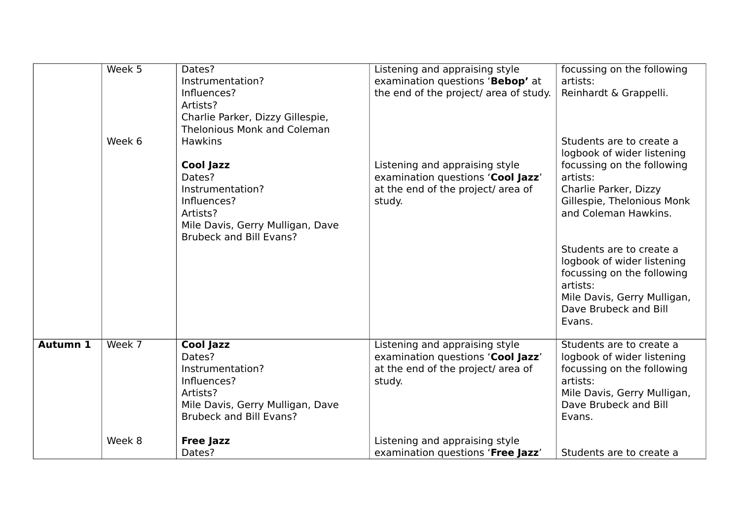|                 | Week 5<br>Week 6 | Dates?<br>Instrumentation?<br>Influences?<br>Artists?<br>Charlie Parker, Dizzy Gillespie,<br><b>Thelonious Monk and Coleman</b><br><b>Hawkins</b><br><b>Cool Jazz</b><br>Dates?<br>Instrumentation?<br>Influences?<br>Artists?<br>Mile Davis, Gerry Mulligan, Dave<br><b>Brubeck and Bill Evans?</b> | Listening and appraising style<br>examination questions 'Bebop' at<br>the end of the project/ area of study.<br>Listening and appraising style<br>examination questions 'Cool Jazz'<br>at the end of the project/ area of<br>study. | focussing on the following<br>artists:<br>Reinhardt & Grappelli.<br>Students are to create a<br>logbook of wider listening<br>focussing on the following<br>artists:<br>Charlie Parker, Dizzy<br>Gillespie, Thelonious Monk<br>and Coleman Hawkins.<br>Students are to create a<br>logbook of wider listening<br>focussing on the following<br>artists:<br>Mile Davis, Gerry Mulligan,<br>Dave Brubeck and Bill<br>Evans. |
|-----------------|------------------|------------------------------------------------------------------------------------------------------------------------------------------------------------------------------------------------------------------------------------------------------------------------------------------------------|-------------------------------------------------------------------------------------------------------------------------------------------------------------------------------------------------------------------------------------|---------------------------------------------------------------------------------------------------------------------------------------------------------------------------------------------------------------------------------------------------------------------------------------------------------------------------------------------------------------------------------------------------------------------------|
| <b>Autumn 1</b> | Week 7           | <b>Cool Jazz</b><br>Dates?<br>Instrumentation?<br>Influences?<br>Artists?<br>Mile Davis, Gerry Mulligan, Dave<br><b>Brubeck and Bill Evans?</b>                                                                                                                                                      | Listening and appraising style<br>examination questions 'Cool Jazz'<br>at the end of the project/ area of<br>study.                                                                                                                 | Students are to create a<br>logbook of wider listening<br>focussing on the following<br>artists:<br>Mile Davis, Gerry Mulligan,<br>Dave Brubeck and Bill<br>Evans.                                                                                                                                                                                                                                                        |
|                 | Week 8           | <b>Free Jazz</b><br>Dates?                                                                                                                                                                                                                                                                           | Listening and appraising style<br>examination questions 'Free Jazz'                                                                                                                                                                 | Students are to create a                                                                                                                                                                                                                                                                                                                                                                                                  |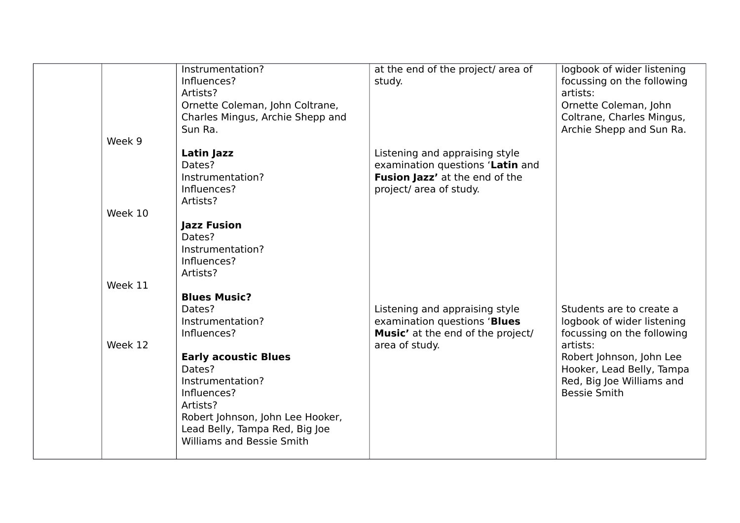| Instrumentation?<br>Influences?<br>Artists?<br>Ornette Coleman, John Coltrane,<br>Charles Mingus, Archie Shepp and<br>Sun Ra.                                                                                                  | at the end of the project/ area of<br>study.                                                                                    | logbook of wider listening<br>focussing on the following<br>artists:<br>Ornette Coleman, John<br>Coltrane, Charles Mingus,<br>Archie Shepp and Sun Ra.                                                        |
|--------------------------------------------------------------------------------------------------------------------------------------------------------------------------------------------------------------------------------|---------------------------------------------------------------------------------------------------------------------------------|---------------------------------------------------------------------------------------------------------------------------------------------------------------------------------------------------------------|
| Latin Jazz<br>Dates?<br>Instrumentation?<br>Influences?<br>Artists?                                                                                                                                                            | Listening and appraising style<br>examination questions 'Latin and<br>Fusion Jazz' at the end of the<br>project/ area of study. |                                                                                                                                                                                                               |
| <b>Jazz Fusion</b><br>Dates?<br>Instrumentation?<br>Influences?<br>Artists?                                                                                                                                                    |                                                                                                                                 |                                                                                                                                                                                                               |
| <b>Blues Music?</b><br>Dates?<br>Instrumentation?<br>Influences?<br><b>Early acoustic Blues</b><br>Dates?<br>Instrumentation?<br>Influences?<br>Artists?<br>Robert Johnson, John Lee Hooker,<br>Lead Belly, Tampa Red, Big Joe | Listening and appraising style<br>examination questions 'Blues<br><b>Music'</b> at the end of the project/<br>area of study.    | Students are to create a<br>logbook of wider listening<br>focussing on the following<br>artists:<br>Robert Johnson, John Lee<br>Hooker, Lead Belly, Tampa<br>Red, Big Joe Williams and<br><b>Bessie Smith</b> |
|                                                                                                                                                                                                                                | Week 10<br>Week 11<br>Week 12<br><b>Williams and Bessie Smith</b>                                                               |                                                                                                                                                                                                               |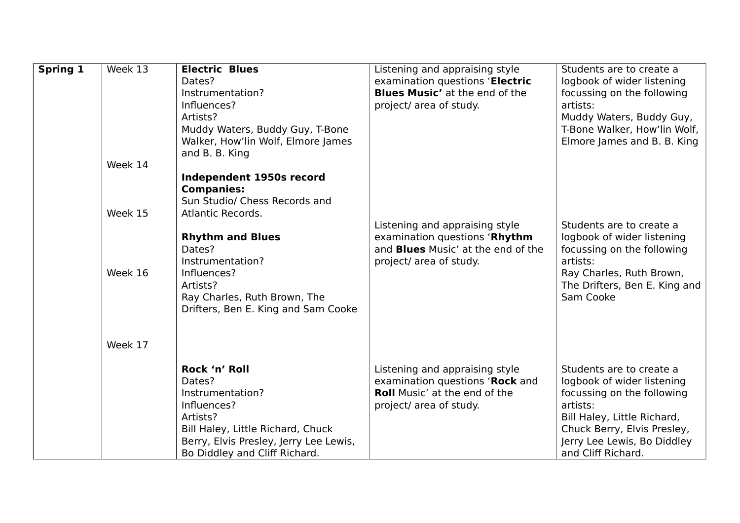| <b>Spring 1</b> | Week 13 | <b>Electric Blues</b>                  | Listening and appraising style            | Students are to create a      |
|-----------------|---------|----------------------------------------|-------------------------------------------|-------------------------------|
|                 |         | Dates?                                 | examination questions 'Electric           | logbook of wider listening    |
|                 |         | Instrumentation?                       | <b>Blues Music'</b> at the end of the     | focussing on the following    |
|                 |         | Influences?                            | project/ area of study.                   | artists:                      |
|                 |         | Artists?                               |                                           | Muddy Waters, Buddy Guy,      |
|                 |         | Muddy Waters, Buddy Guy, T-Bone        |                                           | T-Bone Walker, How'lin Wolf,  |
|                 |         | Walker, How'lin Wolf, Elmore James     |                                           | Elmore James and B. B. King   |
|                 |         | and B. B. King                         |                                           |                               |
|                 | Week 14 |                                        |                                           |                               |
|                 |         | Independent 1950s record               |                                           |                               |
|                 |         | <b>Companies:</b>                      |                                           |                               |
|                 |         | Sun Studio/ Chess Records and          |                                           |                               |
|                 | Week 15 | Atlantic Records.                      |                                           |                               |
|                 |         |                                        | Listening and appraising style            | Students are to create a      |
|                 |         | <b>Rhythm and Blues</b>                | examination questions 'Rhythm             | logbook of wider listening    |
|                 |         | Dates?                                 | and <b>Blues</b> Music' at the end of the | focussing on the following    |
|                 |         | Instrumentation?                       | project/ area of study.                   | artists:                      |
|                 | Week 16 | Influences?                            |                                           | Ray Charles, Ruth Brown,      |
|                 |         | Artists?                               |                                           | The Drifters, Ben E. King and |
|                 |         | Ray Charles, Ruth Brown, The           |                                           | Sam Cooke                     |
|                 |         | Drifters, Ben E. King and Sam Cooke    |                                           |                               |
|                 |         |                                        |                                           |                               |
|                 |         |                                        |                                           |                               |
|                 | Week 17 |                                        |                                           |                               |
|                 |         |                                        |                                           |                               |
|                 |         | Rock 'n' Roll                          | Listening and appraising style            | Students are to create a      |
|                 |         | Dates?                                 | examination questions 'Rock and           | logbook of wider listening    |
|                 |         | Instrumentation?                       | <b>Roll Music' at the end of the</b>      | focussing on the following    |
|                 |         | Influences?                            | project/ area of study.                   | artists:                      |
|                 |         | Artists?                               |                                           | Bill Haley, Little Richard,   |
|                 |         | Bill Haley, Little Richard, Chuck      |                                           | Chuck Berry, Elvis Presley,   |
|                 |         | Berry, Elvis Presley, Jerry Lee Lewis, |                                           | Jerry Lee Lewis, Bo Diddley   |
|                 |         | Bo Diddley and Cliff Richard.          |                                           | and Cliff Richard.            |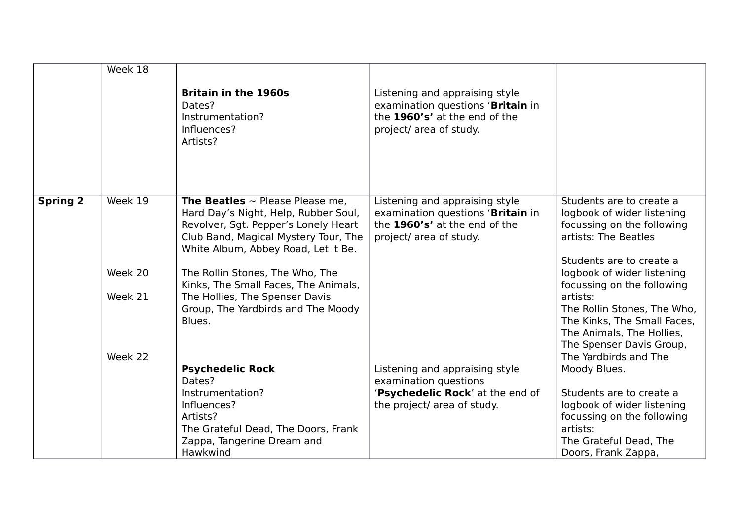|                 | Week 18            |                                                                                                                                                                                                            |                                                                                                                                 |                                                                                                                                                          |
|-----------------|--------------------|------------------------------------------------------------------------------------------------------------------------------------------------------------------------------------------------------------|---------------------------------------------------------------------------------------------------------------------------------|----------------------------------------------------------------------------------------------------------------------------------------------------------|
|                 |                    | <b>Britain in the 1960s</b><br>Dates?<br>Instrumentation?<br>Influences?<br>Artists?                                                                                                                       | Listening and appraising style<br>examination questions 'Britain in<br>the 1960's' at the end of the<br>project/ area of study. |                                                                                                                                                          |
| <b>Spring 2</b> | Week 19            | <b>The Beatles</b> $\sim$ Please Please me,<br>Hard Day's Night, Help, Rubber Soul,<br>Revolver, Sgt. Pepper's Lonely Heart<br>Club Band, Magical Mystery Tour, The<br>White Album, Abbey Road, Let it Be. | Listening and appraising style<br>examination questions 'Britain in<br>the 1960's' at the end of the<br>project/ area of study. | Students are to create a<br>logbook of wider listening<br>focussing on the following<br>artists: The Beatles                                             |
|                 | Week 20            | The Rollin Stones, The Who, The<br>Kinks, The Small Faces, The Animals,                                                                                                                                    |                                                                                                                                 | Students are to create a<br>logbook of wider listening<br>focussing on the following                                                                     |
|                 | Week 21<br>Week 22 | The Hollies, The Spenser Davis<br>Group, The Yardbirds and The Moody<br>Blues.                                                                                                                             |                                                                                                                                 | artists:<br>The Rollin Stones, The Who,<br>The Kinks, The Small Faces,<br>The Animals, The Hollies,<br>The Spenser Davis Group,<br>The Yardbirds and The |
|                 |                    | <b>Psychedelic Rock</b><br>Dates?                                                                                                                                                                          | Listening and appraising style<br>examination questions                                                                         | Moody Blues.                                                                                                                                             |
|                 |                    | Instrumentation?<br>Influences?<br>Artists?<br>The Grateful Dead, The Doors, Frank<br>Zappa, Tangerine Dream and<br>Hawkwind                                                                               | 'Psychedelic Rock' at the end of<br>the project/ area of study.                                                                 | Students are to create a<br>logbook of wider listening<br>focussing on the following<br>artists:<br>The Grateful Dead, The<br>Doors, Frank Zappa,        |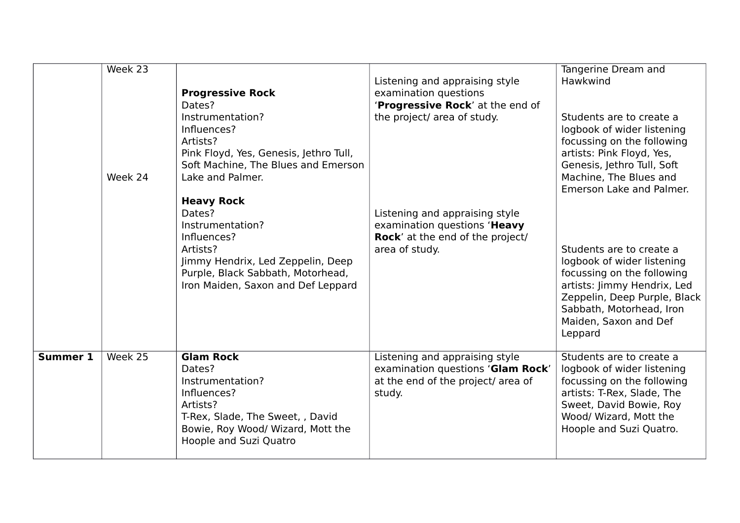|                 | Week 23<br>Week 24 | <b>Progressive Rock</b><br>Dates?<br>Instrumentation?<br>Influences?<br>Artists?<br>Pink Floyd, Yes, Genesis, Jethro Tull,<br>Soft Machine, The Blues and Emerson<br>Lake and Palmer.<br><b>Heavy Rock</b><br>Dates?<br>Instrumentation?<br>Influences?<br>Artists?<br>Jimmy Hendrix, Led Zeppelin, Deep<br>Purple, Black Sabbath, Motorhead,<br>Iron Maiden, Saxon and Def Leppard | Listening and appraising style<br>examination questions<br>'Progressive Rock' at the end of<br>the project/ area of study.<br>Listening and appraising style<br>examination questions 'Heavy<br><b>Rock'</b> at the end of the project/<br>area of study. | Tangerine Dream and<br>Hawkwind<br>Students are to create a<br>logbook of wider listening<br>focussing on the following<br>artists: Pink Floyd, Yes,<br>Genesis, Jethro Tull, Soft<br>Machine, The Blues and<br>Emerson Lake and Palmer.<br>Students are to create a<br>logbook of wider listening<br>focussing on the following<br>artists: Jimmy Hendrix, Led<br>Zeppelin, Deep Purple, Black<br>Sabbath, Motorhead, Iron<br>Maiden, Saxon and Def<br>Leppard |
|-----------------|--------------------|-------------------------------------------------------------------------------------------------------------------------------------------------------------------------------------------------------------------------------------------------------------------------------------------------------------------------------------------------------------------------------------|-----------------------------------------------------------------------------------------------------------------------------------------------------------------------------------------------------------------------------------------------------------|-----------------------------------------------------------------------------------------------------------------------------------------------------------------------------------------------------------------------------------------------------------------------------------------------------------------------------------------------------------------------------------------------------------------------------------------------------------------|
| <b>Summer 1</b> | Week 25            | <b>Glam Rock</b><br>Dates?<br>Instrumentation?<br>Influences?<br>Artists?<br>T-Rex, Slade, The Sweet, , David<br>Bowie, Roy Wood/ Wizard, Mott the<br>Hoople and Suzi Quatro                                                                                                                                                                                                        | Listening and appraising style<br>examination questions 'Glam Rock'<br>at the end of the project/ area of<br>study.                                                                                                                                       | Students are to create a<br>logbook of wider listening<br>focussing on the following<br>artists: T-Rex, Slade, The<br>Sweet, David Bowie, Roy<br>Wood/ Wizard, Mott the<br>Hoople and Suzi Quatro.                                                                                                                                                                                                                                                              |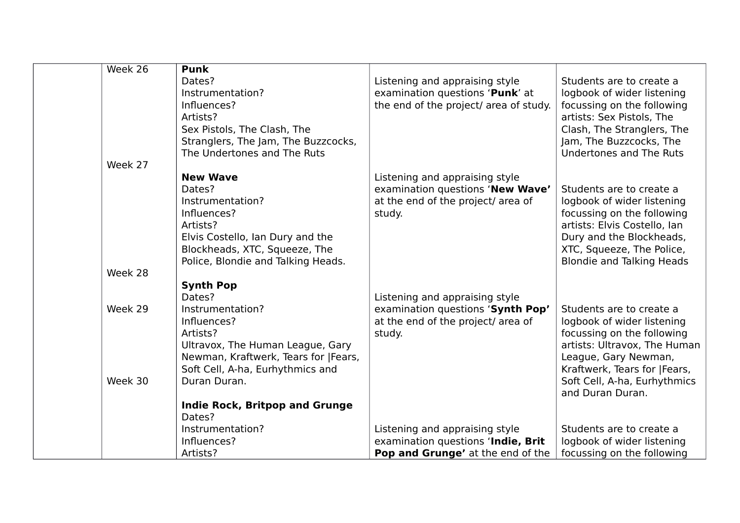| Week 26 | <b>Punk</b>                           |                                        |                                  |
|---------|---------------------------------------|----------------------------------------|----------------------------------|
|         | Dates?                                | Listening and appraising style         | Students are to create a         |
|         | Instrumentation?                      | examination questions 'Punk' at        | logbook of wider listening       |
|         | Influences?                           | the end of the project/ area of study. | focussing on the following       |
|         | Artists?                              |                                        | artists: Sex Pistols, The        |
|         | Sex Pistols, The Clash, The           |                                        | Clash, The Stranglers, The       |
|         | Stranglers, The Jam, The Buzzcocks,   |                                        | Jam, The Buzzcocks, The          |
|         | The Undertones and The Ruts           |                                        | Undertones and The Ruts          |
| Week 27 |                                       |                                        |                                  |
|         | <b>New Wave</b>                       | Listening and appraising style         |                                  |
|         | Dates?                                | examination questions 'New Wave'       | Students are to create a         |
|         | Instrumentation?                      | at the end of the project/ area of     | logbook of wider listening       |
|         | Influences?                           | study.                                 | focussing on the following       |
|         | Artists?                              |                                        | artists: Elvis Costello, Ian     |
|         | Elvis Costello, Ian Dury and the      |                                        | Dury and the Blockheads,         |
|         | Blockheads, XTC, Squeeze, The         |                                        | XTC, Squeeze, The Police,        |
|         | Police, Blondie and Talking Heads.    |                                        | <b>Blondie and Talking Heads</b> |
| Week 28 |                                       |                                        |                                  |
|         | <b>Synth Pop</b>                      |                                        |                                  |
|         | Dates?                                | Listening and appraising style         |                                  |
| Week 29 | Instrumentation?                      | examination questions 'Synth Pop'      | Students are to create a         |
|         | Influences?                           | at the end of the project/ area of     | logbook of wider listening       |
|         | Artists?                              | study.                                 | focussing on the following       |
|         | Ultravox, The Human League, Gary      |                                        | artists: Ultravox, The Human     |
|         | Newman, Kraftwerk, Tears for  Fears,  |                                        | League, Gary Newman,             |
|         | Soft Cell, A-ha, Eurhythmics and      |                                        | Kraftwerk, Tears for  Fears,     |
| Week 30 | Duran Duran.                          |                                        | Soft Cell, A-ha, Eurhythmics     |
|         |                                       |                                        | and Duran Duran.                 |
|         | <b>Indie Rock, Britpop and Grunge</b> |                                        |                                  |
|         | Dates?                                |                                        |                                  |
|         | Instrumentation?                      | Listening and appraising style         | Students are to create a         |
|         | Influences?                           | examination questions 'Indie, Brit     | logbook of wider listening       |
|         | Artists?                              | Pop and Grunge' at the end of the      | focussing on the following       |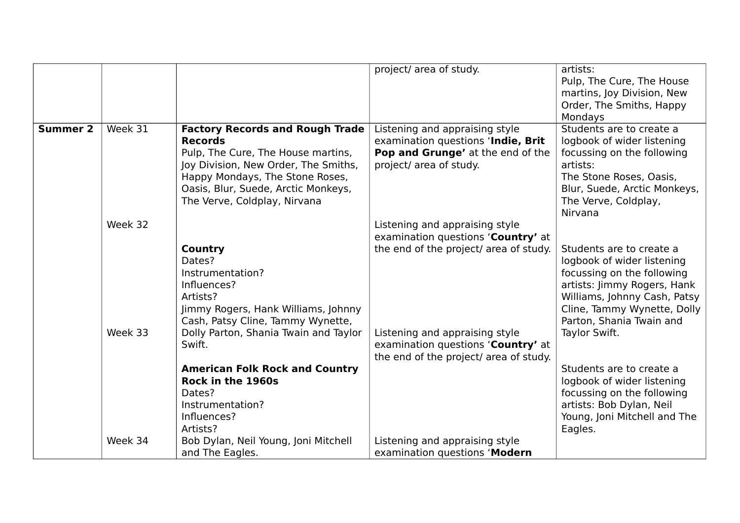|                 |         |                                        | project/ area of study.                | artists:                     |
|-----------------|---------|----------------------------------------|----------------------------------------|------------------------------|
|                 |         |                                        |                                        | Pulp, The Cure, The House    |
|                 |         |                                        |                                        | martins, Joy Division, New   |
|                 |         |                                        |                                        | Order, The Smiths, Happy     |
|                 |         |                                        |                                        | Mondays                      |
| <b>Summer 2</b> | Week 31 | <b>Factory Records and Rough Trade</b> | Listening and appraising style         | Students are to create a     |
|                 |         | <b>Records</b>                         | examination questions 'Indie, Brit     | logbook of wider listening   |
|                 |         | Pulp, The Cure, The House martins,     | Pop and Grunge' at the end of the      | focussing on the following   |
|                 |         | Joy Division, New Order, The Smiths,   | project/ area of study.                | artists:                     |
|                 |         | Happy Mondays, The Stone Roses,        |                                        | The Stone Roses, Oasis,      |
|                 |         | Oasis, Blur, Suede, Arctic Monkeys,    |                                        | Blur, Suede, Arctic Monkeys, |
|                 |         | The Verve, Coldplay, Nirvana           |                                        | The Verve, Coldplay,         |
|                 |         |                                        |                                        | Nirvana                      |
|                 | Week 32 |                                        | Listening and appraising style         |                              |
|                 |         |                                        | examination questions 'Country' at     |                              |
|                 |         | Country                                | the end of the project/ area of study. | Students are to create a     |
|                 |         | Dates?                                 |                                        | logbook of wider listening   |
|                 |         | Instrumentation?                       |                                        | focussing on the following   |
|                 |         | Influences?                            |                                        | artists: Jimmy Rogers, Hank  |
|                 |         | Artists?                               |                                        | Williams, Johnny Cash, Patsy |
|                 |         | Jimmy Rogers, Hank Williams, Johnny    |                                        | Cline, Tammy Wynette, Dolly  |
|                 |         | Cash, Patsy Cline, Tammy Wynette,      |                                        | Parton, Shania Twain and     |
|                 | Week 33 | Dolly Parton, Shania Twain and Taylor  | Listening and appraising style         | Taylor Swift.                |
|                 |         | Swift.                                 | examination questions 'Country' at     |                              |
|                 |         |                                        | the end of the project/ area of study. |                              |
|                 |         | <b>American Folk Rock and Country</b>  |                                        | Students are to create a     |
|                 |         | Rock in the 1960s                      |                                        | logbook of wider listening   |
|                 |         | Dates?                                 |                                        | focussing on the following   |
|                 |         | Instrumentation?                       |                                        | artists: Bob Dylan, Neil     |
|                 |         | Influences?                            |                                        | Young, Joni Mitchell and The |
|                 |         | Artists?                               |                                        | Eagles.                      |
|                 | Week 34 | Bob Dylan, Neil Young, Joni Mitchell   | Listening and appraising style         |                              |
|                 |         | and The Eagles.                        | examination questions 'Modern          |                              |